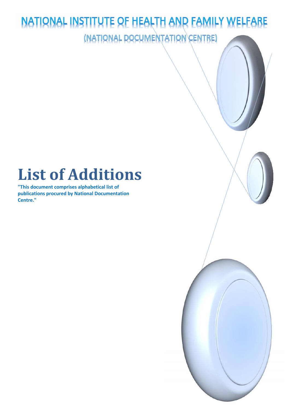## NATIONAL INSTITUTE OF HEALTH AND FAMILY WELFARE (NATIONAL DOCUMENTATION CENTRE)

## **List of Additions**

**"This document comprises alphabetical list of publications procured by National Documentation Centre."**

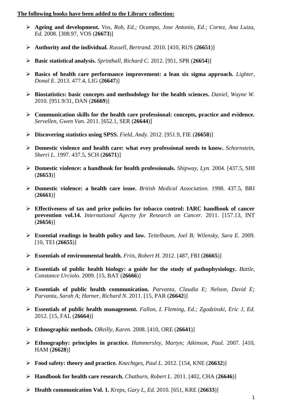## **The following books have been added to the Library collection:**

- **Ageing and development.** *Vos, Rob, Ed.; Ocampo, Jose Antonio, Ed.; Cortez, Ana Luiza, Ed.* 2008. [308.97, VOS (**26673**)]
- **Authority and the individual.** *Russell, Bertrand.* 2010. [410, RUS (**26651**)]
- **Basic statistical analysis.** *Sprinthall, Richard C.* 2012. [951, SPR (**26654**)]
- **Basics of health care performance improvement: a lean six sigma approach.** *Lighter, Donal E.* 2013. 477.4, LIG (**26647**)]
- **Biostatistics: basic concepts and methodology for the health sciences.** *Daniel, Wayne W.* 2010. [951.9/31, DAN (**26669**)]
- **Communication skills for the health care professional: concepts, practice and evidence.** *Servellen, Gwen Van.* 2011. [652.1, SER (**26644**)]
- **Discovering statistics using SPSS.** *Field, Andy.* 2012. [951.9, FIE (**26658**)]
- **Domestic violence and health care: what evey professional needs to know.** *Schornstein, Sherri L.* 1997. 437.5, SCH (**26671**)]
- **Domestic violence: a handbook for health professionals.** *Shipway, Lyn.* 2004. [437.5, SHI (**26653**)]
- **Domestic violence: a health care issue.** *British Medical Association.* 1998. 437.5, BRI (**26661**)]
- **Effectiveness of tax and price policies for tobacco control: IARC handbook of cancer prevention vol.14.** *International Agecny for Research on Cancer.* 2011. [157.13, INT (**26656**)]
- **Essential readings in health policy and law.** *Teitelbaum, Joel B; Wilensky, Sara E.* 2009. [10, TEI (**26655**)]
- **Essentials of environmental health.** *Friis, Robert H.* 2012. [487, FRI (**26665**)]
- **Essentials of public health biology: a guide for the study of pathophysiology.** *Battle, Constance Urciolo.* 2009. [15, BAT (**26666**)]
- **Essentials of public health communication.** *Parvanta, Claudia E; Nelson, David E; Parvanta, Sarah A; Harner, Richard N.* 2011. [15, PAR (**26642**)]
- **Essentials of public health management.** *Fallon, L Fleming, Ed.; Zgodzinski, Eric J, Ed.* 2012. [15, FAL (**26664**)]
- **Ethnographic methods.** *OReilly, Karen.* 2008. [410, ORE (**26641**)]
- **Ethnography: principles in practice.** *Hammersley, Martyn; Atkinson, Paul.* 2007. [410, HAM (**26628**)]
- **Food safety: theory and practice.** *Knechtges, Paul L.* 2012. [154, KNE (**26632**)]
- **Handbook for health care research.** *Chatburn, Robert L.* 2011. [402, CHA (**26646**)]
- **Health communication Vol. 1.** *Kreps, Gary L, Ed.* 2010. [651, KRE (**26633**)]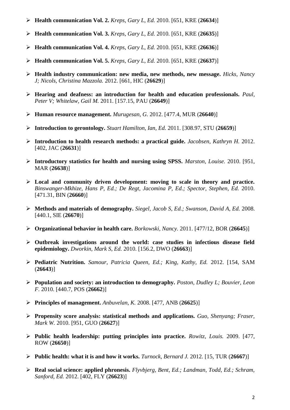- **Health communication Vol. 2.** *Kreps, Gary L, Ed.* 2010. [651, KRE (**26634**)]
- **Health communication Vol. 3.** *Kreps, Gary L, Ed.* 2010. [651, KRE (**26635**)]
- **Health communication Vol. 4.** *Kreps, Gary L, Ed.* 2010. [651, KRE (**26636**)]
- **Health communication Vol. 5.** *Kreps, Gary L, Ed.* 2010. [651, KRE (**26637**)]
- **Health industry communication: new media, new methods, new message.** *Hicks, Nancy J; Nicols, Christina Mazzola.* 2012. [661, HIC (**26629**)]
- **Hearing and deafness: an introduction for health and education professionals.** *Paul, Peter V; Whitelaw, Gail M.* 2011. [157.15, PAU (**26649**)]
- **Human resource management.** *Murugesan, G.* 2012. [477.4, MUR (**26640**)]
- **Introduction to gerontology.** *Stuart Hamilton, Ian, Ed.* 2011. [308.97, STU (**26659**)]
- **Introduction to health research methods: a practical guide.** *Jacobsen, Kathryn H.* 2012. [402, JAC (**26631**)]
- **Introductory statistics for health and nursing using SPSS.** *Marston, Louise.* 2010. [951, MAR (**26638**)]
- **Local and community driven development: moving to scale in theory and practice.** *Binswanger-Mkhize, Hans P, Ed.; De Regt, Jacomina P, Ed.; Spector, Stephen, Ed.* 2010. [471.31, BIN (**26660**)]
- **Methods and materials of demography.** *Siegel, Jacob S, Ed.; Swanson, David A, Ed.* 2008. [440.1, SIE (**26670**)]
- **Organizational behavior in health care.** *Borkowski, Nancy.* 2011. [477/12, BOR (**26645**)]
- **Outbreak investigations around the world: case studies in infectious disease field epidemiology.** *Dworkin, Mark S, Ed.* 2010. [156.2, DWO (**26663**)]
- **Pediatric Nutrition.** *Samour, Patricia Queen, Ed.; King, Kathy, Ed.* 2012. [154, SAM (**26643**)]
- **Population and society: an introduction to demography.** *Poston, Dudley L; Bouvier, Leon F.* 2010. [440.7, POS (**26662**)]
- **Principles of management.** *Anbuvelan, K.* 2008. [477, ANB (**26625**)]
- **Propensity score analysis: statistical methods and applications.** *Guo, Shenyang; Fraser, Mark W.* 2010. [951, GUO (**26627**)]
- **Public health leadership: putting principles into practice.** *Rowitz, Louis.* 2009. [477, ROW (**26650**)]
- **Public health: what it is and how it works.** *Turnock, Bernard J.* 2012. [15, TUR (**26667**)]
- **Real social science: applied phronesis.** *Flyvbjerg, Bent, Ed.; Landman, Todd, Ed.; Schram, Sanford, Ed.* 2012. [402, FLY (**26623**)]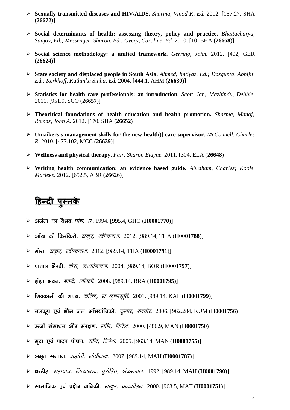- **Sexually transmitted diseases and HIV/AIDS.** *Sharma, Vinod K, Ed.* 2012. [157.27, SHA (**26672**)]
- **Social determinants of health: assessing theory, policy and practice.** *Bhattacharya, Sanjoy, Ed.; Messenger, Sharon, Ed.; Overy, Caroline, Ed.* 2010. [10, BHA (**26668**)]
- **Social science methodology: a unified framework.** *Gerring, John.* 2012. [402, GER (**26624**)]
- **State society and displaced people in South Asia.** *Ahmed, Imtiyaz, Ed.; Dasgupta, Abhijit, Ed.; Kerkhoff, Kathinka Sinha, Ed.* 2004. [444.1, AHM (**26630**)]
- **Statistics for health care professionals: an introduction.** *Scott, Ian; Mazhindu, Debbie.* 2011. [951.9, SCO (**26657**)]
- **Theoritical foundations of health education and health promotion.** *Sharma, Manoj; Romas, John A.* 2012. [170, SHA (**26652**)]
- **Umaikers's management skills for the new health**)] **care supervisor.** *McConnell, Charles R.* 2010. [477.102, MCC (**26639**)]
- **Wellness and physical therapy.** *Fair, Sharon Elayne.* 2011. [304, ELA (**26648**)]
- **Writing health communication: an evidence based guide.** *Abraham, Charles; Kools, Marieke.* 2012. [652.5, ABR (**26626**)]

## <u>हिन्दी पुस्तके</u>

- **vtark dk oSHko**. *?kksÔ] ,* . 1994. [995.4, GHO (**H0001770**)]
- **vk¡[k dh fdjfdjh**. *Bkdqj] johUnzukFk*. 2012. [989.14, THA (**H0001788**)]
- **xksjk**. *Bkdqj] johUnzukFk*. 2012. [989.14, THA (**H0001791**)]
- **ikrky HkSjoh**. *cksjk] y{ehuUnu*. 2004. [989.14, BOR (**H0001797**)]
- **≻** इंझा भवन. *ब्राण्टे. एमिली.* 2008. [989.14, BRA (**H0001795**)]
- **f'kodkeh dh 'kiFk**. *dfYd] jk d`".kewfrZ*. 2001. [989.14, KAL (**H0001799**)]
- **uydwi ,oa HkkSe ty vfHk;kaf=dh**. *dqekj] j.kohj*. 2006. [962.284, KUM (**H0001756**)]
- ⊁ ऊर्जा संसाधन और संरक्षण. *मणि, दिनेश*. 2000. [486.9, MAN (**H0001750**)]
- **► मदा एवं पादप पोषण**. *मणि. दिनेश*. 2005. [963.14, MAN (**H0001755**)]
- 
- **⊁ ऊर्जा संसाधन और संरक्षण**. *मणि, दिनेश*. 2000. [486.9, MAN (**H0001750**)]<br>**⊁ मृदा एवं पादप पोषण**. *मणि, दिनेश.* 2005. [963.14, MAN (**H0001755**)]<br>**≯ अमृत सन्तान**. *महांती, गोपीनाथ*. 2007. [989.14, MAH (**H0001787**)]<br>**⊁ धर**
- **lkekftd ,oa iz{ks= okfudh**. *ekFkqj] pUnzeksgu*. 2000. [963.5, MAT (**H0001751**)]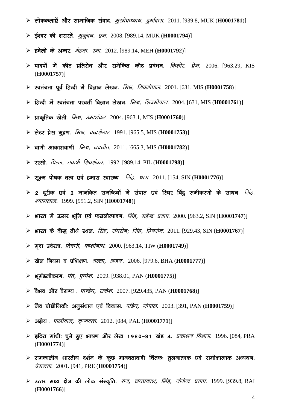- **≻ लोककलाऐं और सामाजिक संवाद**. *मुखोपाध्याय, दुर्गादास*. 2011. [939.8, MUK (**H0001781**)]
- **≥ ईश्वर की शरारतें**. *मुर्कुदन, एम*. 2008. [989.14, MUK (**H0001794**)]
- **gosyh ds vUnj**. *esgrk] jek*. 2012. [989.14, MEH (**H0001792**)]
- **≽ पादपों में कीट प्रतिरोध और समेकित कीट प्रबंधन**. *किशोर, प्रेम*. 2006. [963.29, KIS (**H0001757**)]
- **Lora=rk iwoZ fgUnh esa foKku ys[ku**. *feJ] f'koxksiky*. 2001. [631, MIS (**H0001758**)]
- ⊁ हिन्दी में स्वतंत्रता परवर्ती विज्ञान लेखन. *मिश्र, शिवगोपाल*. 2004. [631, MIS (H0001761)]
- **izkd`frd [ksrh**. *feJ] mek'kadj*. 2004. [963.1, MIS (**H0001760**)]
- **≻ लेटर प्रेस मूद्रण**. *मिश्र, चन्द्रशेखर*. 1991. [965.5, MIS (**H0001753**)]
- $\triangleright$  **and analyoical analysis of** *Fey. agata.* **2011. [665.3, MIS (H0001782)]**
- **≻ रस्सी**. *पिल्ल, तकषी शिवशंकर*. 1992. [989.14, PIL (**H0001798**)]
- **E सूक्ष्म पोषक तत्व एवं हमारा स्वास्थ्य**. *सिंह, धारा*. 2011. [154, SIN (**H0001776**)]
- **> रस्सी**. *पिल्ल, तकषी शिवशंकर*. 1992. [989.14, PIL (**H0001798**)]<br>**> सूक्ष्म पोषक तत्व एवं हमारा स्वास्थ्य** . *सिंह, धारा*. 2011. [154, SIN (**H0001776**)]<br>→ 2 दूरीक एवं 2 मानकित समष्टियों में संपात एवं स्थिर बिंदु समीकरण *';keyky*. 1999. [951.2, SIN (**H0001748**)]
- **Hkkjr esa Ålj Hkwfe ,oa QlyksRiknu**. *flag] egsUnz izrki*. 2000. [963.2, SIN (**H0001747**)]
- ⊁ भारत के बौद्ध तीर्थ स्थल. *सिंह, संघसेन; सिंह, प्रियसेन*. 2011. [929.43, SIN (**H0001767**)]
- **e`nk moZjrk**. *frokjh] dk'khukFk*. 2000. [963.14, TIW (**H0001749**)]
- **[ksy fu;e o izf'k{k.k**. *HkYyk] vt;* . 2006. [979.6, BHA (**H0001777**)]
- **HkweaMyhdj.k**. *iar] iq"is'k*. 2009. [938.01, PAN (**H0001775**)]
- **oSHko vkSj oSjkX;** . *ik.Ms;] jkds'k*. 2007. [929.435, PAN (**H0001768**)]
- **tSo izks|kSfxdh% vuqla/kku ,oa fodkl**. *ikaMs;] xksiky*. 2003. [391, PAN (**H0001759**)]
- 
- ⊁ वैभव और वैराग्य . *पाण्डेय, राकेश*. 2007. [929.435, PAN (**H0001768**)]<br>⊁ जैव प्रोद्यौगिकीः अनुसंधान एवं विकास. *पांडेय, गोपाल*. 2003. [391, PAN (**H0001759**)]<br>⊁ इदिरा गांधीः चुने हुए भाषण और लेख 1980–81 खंड 4. *प्रकाशन व* (**H0001774**)]
- **led Hikki, Ledith, 1980-81 खंड 4**. *प्रकाशन विभाग*. 1996. [084, PRA<br> **(H0001774**)]<br>
रे समकालीन भारतीय दर्शन के कुछ मानवतावादी चिंतकः तुलनात्मक एवं समीक्षात्मक अध्ययन.<br> *प्रेमलता*. 2001. [941, PRE (**H0001754**)] *izseyrk*. 2001. [941, PRE (**H0001754**)]
- <del>≥ उत्तर मध्य क्षेत्र की लोक संस्कृति. *राय, जयप्रकाश; सिंह, योगेन्द्र प्रताप*. 1999. [939.8, RAI</del> (**H0001766**)]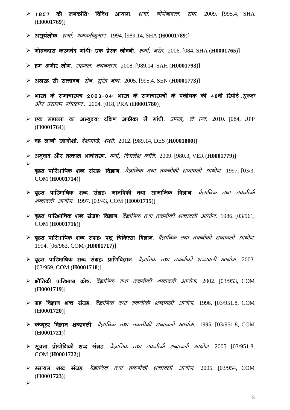- **≻ 1857 की जनकांतिः विविध आयाम**. *शर्मा. योगेन्द्रदत्त. संपा.* 2009. [995.4, SHA (**H0001769**)]
- **vlw;Zyksd**. *'kekZ] Hkxorhdqekj*. 1994. [989.14, SHA (**H0001789**)]
- **eksgunkl djepan xka/kh% ,d izsjd thouh**. *'kekZ] ujsanz*. 2006. [084, SHA (**H0001765**)]
- **ge vehj yksx**. *lgxy] u;urkjk*. 2008. [989.14, SAH (**H0001793**)]
- **≻ अठारह सौ सत्तावन**. *सेन, सुरेंद्र नाथ.* 2005. [995.4, SEN (**H0001773**)]
- → भारत के समाचारपत्र 2003–04: भारत के समाचारपत्रों के पंजीयक की 48वीं रिपोर्ट *.सूचना<br>- और प्रसारण मंत्रालय* . 2004. [018, PRA (**H0001780**)]<br>→ एक महात्मा का अभ्युदयः दक्षिण अफ्रीका में गांधी. *उप्पल, जे एन*. 2010. [084, *और प्रसारण मंत्रालय*. 2004. [018, PRA (H0001780)] **> भारत के समाचारपत्र 2003–04: भारत के समाचारपत्रों के पंजीयक की 48वीं रिपोर्ट** *सूचना<br>और प्रसारण मंत्रालय* 2004 [018, PRA (H0001780)]<br>> एक महात्मा का अभ्युदय: दक्षिण अफ्रीका में गांधी. *उप्पल, जे एन*. 2010. [084, UPP<br>(H0
- (**H0001764**)]
- **og yEch [kkeks'kh**. *ns'kik.Ms] 'k'kh*. 2012. [989.14, DES (**H0001800**)]
- **≻ अनुवाद और तत्काल भाषांतरण**. *वर्मा, विमलेश कांति*. 2009. [980.3, VER (**H0001779**)]
- $\sim$   $\sim$ **c`gr ikfjHkkfÔd 'kCn laxzg% foKku**. *oSKkfud rFkk rduhdh 'kCnkoyh vk;ksx*. 1997. [03/3, COM (**H0001714**)]
- $\triangleright$  बृहत पारिभाषिक शब्द संग्रहः मानविकी तथा सामाजिक विज्ञान. *वेज्ञानिक तथा तकनीकी 'kCnkoyh vk;ksx*. 1997. [03/43, COM (**H0001715**)]
- **≻ बृहत पारिभाषिक शब्द संग्रहः विज्ञान**. *वैज्ञानिक तथा तकनीकी शब्दावली आयोग*. 1986. [03/961, COM (**H0001716**)]
- $\triangleright$  बृहत पारिभाषिक शब्द संग्रहः पशु चिकित्सा विज्ञान. *वैज्ञानिक तथा तकनीकी शब्दावली आयोग*. 1994. [06/963, COM (**H0001717**)]
- **≻ बृहत पारिभाषिक शब्द संग्रहः प्राणिविज्ञान**. *वैज्ञानिक तथा तकनीकी शब्दावली आयोग*. 2003. [03/959, COM (**H0001718**)]
- **HkkSfrdh ikfjHkkÔk dksÔ**. *oSKkfud rFkk rduhdh 'kCnkoyh vk;ksx*. 2002. [03/953, COM (**H0001719**)]
- **≻ ग्रह विज्ञान शब्द संग्रह**. *वैज्ञानिक तथा तकनीकी शब्दावली आयोग*. 1996. [03/951.8, COM (**H0001720**)]
- **daI;wVj foKku 'kCnkoyh**. *oSKkfud rFkk rduhdh 'kCnkoyh vk;ksx*. 1995. [03/951.8, COM (**H0001721**)]
- $\triangleright$  **सूचना प्रोद्योगिकी शब्द संग्रह**. *वैज्ञानिक तथा तकनीकी शब्दावली आयोग*. 2005. [03/951.8, COM (**H0001722**)]
- (H0001721)]<br>**≻ सूचना प्रोद्योगिकी शब्द संग्रह**. *वैज्ञानिक तथा तकनीकी शब्दावली आयोग*. 2005. [03/951.8,<br>COM(H0001722)]<br>→ **रसायन शब्द संग्रह**. *वैज्ञानिक तथा तकनीकी शब्दावली आयोग*. 2005. [03/954, COM<br>(H0001723)] (**H0001723**)]

 $\blacktriangleright$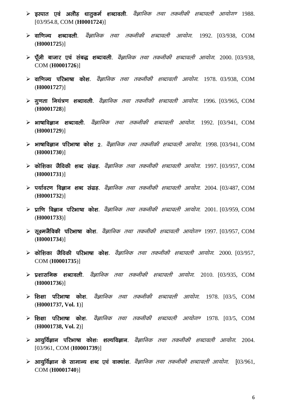- $\triangleright$  **इस्पात एवं अलौह धातुकर्म शब्दावली**. *वैज्ञानिक तथा तकनीकी शब्दावली आयोग*ण 1988. [03/954.8, COM (**H0001724**)]
- **okf.kT; 'kCnkoyh**. *oSKkfud rFkk rduhdh 'kCnkoyh vk;ksx*. 1992. [03/938, COM (**H0001725**)]
- **iw¡th cktkj ,oa lac) 'kCnkoyh**. *oSKkfud rFkk rduhdh 'kCnkoyh vk;ksx*. 2000. [03/938, COM (**H0001726**)]
- **okf.kT; ifjHkkÔk dks'k**. *oSKkfud rFkk rduhdh 'kCnkoyh vk;ksx*. 1978. 03/938, COM (**H0001727**)]
- **xq.krk fu;a=.k 'kCnkoyh**. *oSKkfud rFkk rduhdh 'kCnkoyh vk;ksx*. 1996. [03/965, COM (**H0001728**)]
- **HkkÔkfoKku 'kCnkoyh**. *oSKkfud rFkk rduhdh 'kCnkoyh vk;ksx*. 1992. [03/941, COM (**H0001729**)]
- **Exat of Phylops and the Philippin randing of the Phylops in the comparation of the Villa Com** Phylops and the standard in the standard point in the SM and the COM  $\epsilon$ (**H0001730**)]
- **≻ कोशिका जैविकी शब्द संग्रह**. *वैज्ञानिक तथा तकनीकी शब्दावली आयोग*. 1997. [03/957, COM (**H0001731**)]
- $\triangleright$  **पर्यावरण विज्ञान शब्द संग्रह**. *वैज्ञानिक तथा तकनीकी शब्दावली आयोग*. 2004. [03/487, COM (**H0001732**)]
- **Example 3 kg/kg/koka dikabat daka pengandi aksik rata dikada aksik rata ini dikabat rata fakka rata fakka rata**  $\epsilon$  **2001.** [03/959, COM (**H0001733**)]
- **Exet रैं विकी परिभाषा कोश**. *वैज्ञानिक तथा तकनीकी शब्दावली आयोगण* 1997. [03/957, COM (**H0001734**)]
- **dksf'kdk tSfodh ifjHkkÔk dk s'k**. *oSKkfud rFkk rduhdh 'kCnkoyh vk;ksx*. 2000. [03/957, COM (**H0001735**)]
- **iz'kklfud 'kCnkoyh**. *oSKkfud rFkk rduhdh 'kCnkoyh vk;ksx*. 2010. [03/935, COM (**H0001736**)]
- **≻ शिक्षा परिभाषा कोश**. *वैज्ञानिक तथा तकनीकी शब्दावली आयोग*. 1978. [03/5, COM (**H0001737, Vol. 1**)]
- **f'k{kk ifjHkkÔk dks'k**. *oSKkfud rFkk rduhdh 'kCnkoyh vk;ksx.* 1978. [03/5, COM (**H0001738, Vol. 2**)]
- $\triangleright$  **आयुर्विज्ञान परिभाषा कोशः शल्यविज्ञान**. *वेज्ञानिक तथा तकनीकी शब्दावली आयोग*. 2004. [03/961, COM (**H0001739**)]
- **Expedise 20 x 311 x 312 x 313 x 313 x 314 x 314 x 314 x 314 x 314 x 314 x 314 x 314 x 319 x 319 x 314 x 314 x 314 x 314 x 314 x 314 x 314 x 314 x 314 x 314 x 314 x 314 x 314 x 314 x 314 x 314 x 314 x 314 x 314 x 314 x 31** COM (**H0001740**)]

6